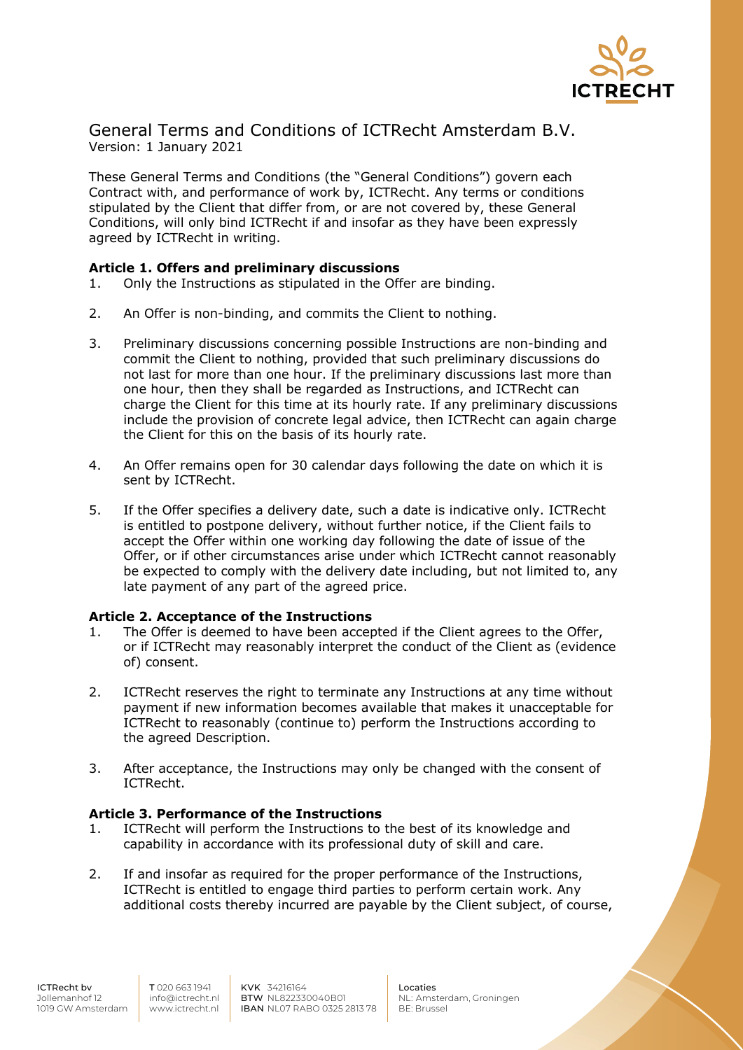

General Terms and Conditions of ICTRecht Amsterdam B.V. Version: 1 January 2021

These General Terms and Conditions (the "General Conditions") govern each Contract with, and performance of work by, ICTRecht. Any terms or conditions stipulated by the Client that differ from, or are not covered by, these General Conditions, will only bind ICTRecht if and insofar as they have been expressly agreed by ICTRecht in writing.

## **Article 1. Offers and preliminary discussions**

- 1. Only the Instructions as stipulated in the Offer are binding.
- 2. An Offer is non-binding, and commits the Client to nothing.
- 3. Preliminary discussions concerning possible Instructions are non-binding and commit the Client to nothing, provided that such preliminary discussions do not last for more than one hour. If the preliminary discussions last more than one hour, then they shall be regarded as Instructions, and ICTRecht can charge the Client for this time at its hourly rate. If any preliminary discussions include the provision of concrete legal advice, then ICTRecht can again charge the Client for this on the basis of its hourly rate.
- 4. An Offer remains open for 30 calendar days following the date on which it is sent by ICTRecht.
- 5. If the Offer specifies a delivery date, such a date is indicative only. ICTRecht is entitled to postpone delivery, without further notice, if the Client fails to accept the Offer within one working day following the date of issue of the Offer, or if other circumstances arise under which ICTRecht cannot reasonably be expected to comply with the delivery date including, but not limited to, any late payment of any part of the agreed price.

### **Article 2. Acceptance of the Instructions**

- 1. The Offer is deemed to have been accepted if the Client agrees to the Offer, or if ICTRecht may reasonably interpret the conduct of the Client as (evidence of) consent.
- 2. ICTRecht reserves the right to terminate any Instructions at any time without payment if new information becomes available that makes it unacceptable for ICTRecht to reasonably (continue to) perform the Instructions according to the agreed Description.
- 3. After acceptance, the Instructions may only be changed with the consent of ICTRecht.

### **Article 3. Performance of the Instructions**

- 1. ICTRecht will perform the Instructions to the best of its knowledge and capability in accordance with its professional duty of skill and care.
- 2. If and insofar as required for the proper performance of the Instructions, ICTRecht is entitled to engage third parties to perform certain work. Any additional costs thereby incurred are payable by the Client subject, of course,

KVK 34216164 BTW NL822330040B01 IBAN NL07 RABO 0325 2813 78

Locaties NL: Amsterdam, Groningen BE: Brussel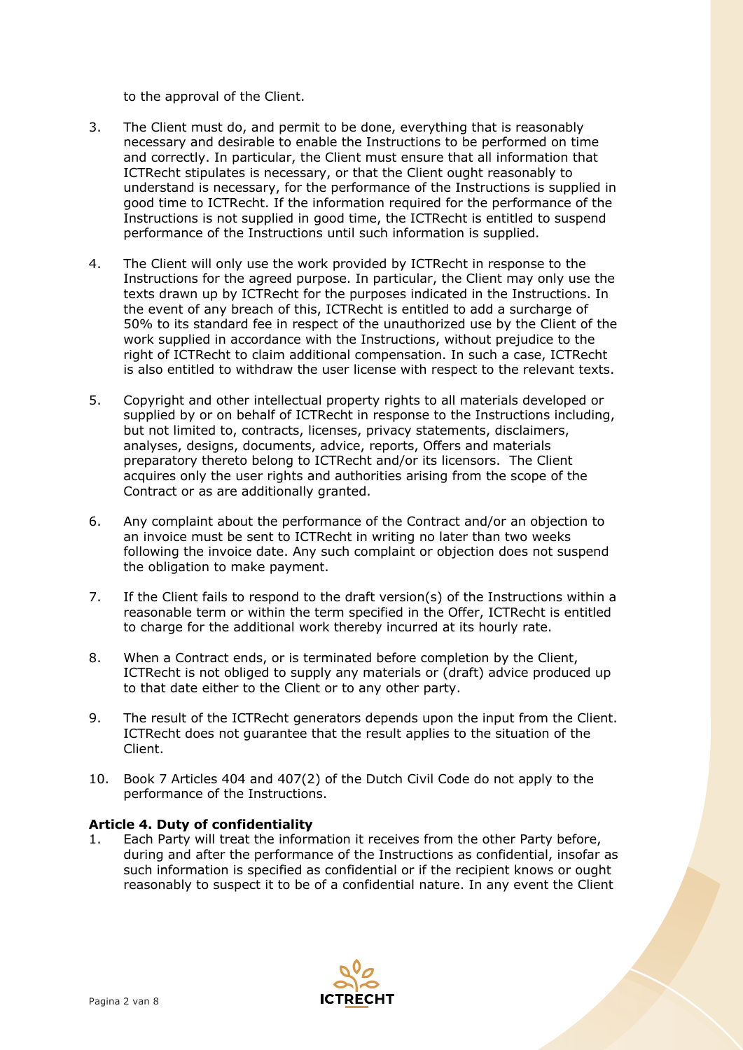to the approval of the Client.

- 3. The Client must do, and permit to be done, everything that is reasonably necessary and desirable to enable the Instructions to be performed on time and correctly. In particular, the Client must ensure that all information that ICTRecht stipulates is necessary, or that the Client ought reasonably to understand is necessary, for the performance of the Instructions is supplied in good time to ICTRecht. If the information required for the performance of the Instructions is not supplied in good time, the ICTRecht is entitled to suspend performance of the Instructions until such information is supplied.
- 4. The Client will only use the work provided by ICTRecht in response to the Instructions for the agreed purpose. In particular, the Client may only use the texts drawn up by ICTRecht for the purposes indicated in the Instructions. In the event of any breach of this, ICTRecht is entitled to add a surcharge of 50% to its standard fee in respect of the unauthorized use by the Client of the work supplied in accordance with the Instructions, without prejudice to the right of ICTRecht to claim additional compensation. In such a case, ICTRecht is also entitled to withdraw the user license with respect to the relevant texts.
- 5. Copyright and other intellectual property rights to all materials developed or supplied by or on behalf of ICTRecht in response to the Instructions including, but not limited to, contracts, licenses, privacy statements, disclaimers, analyses, designs, documents, advice, reports, Offers and materials preparatory thereto belong to ICTRecht and/or its licensors. The Client acquires only the user rights and authorities arising from the scope of the Contract or as are additionally granted.
- 6. Any complaint about the performance of the Contract and/or an objection to an invoice must be sent to ICTRecht in writing no later than two weeks following the invoice date. Any such complaint or objection does not suspend the obligation to make payment.
- 7. If the Client fails to respond to the draft version(s) of the Instructions within a reasonable term or within the term specified in the Offer, ICTRecht is entitled to charge for the additional work thereby incurred at its hourly rate.
- 8. When a Contract ends, or is terminated before completion by the Client, ICTRecht is not obliged to supply any materials or (draft) advice produced up to that date either to the Client or to any other party.
- 9. The result of the ICTRecht generators depends upon the input from the Client. ICTRecht does not guarantee that the result applies to the situation of the Client.
- 10. Book 7 Articles 404 and 407(2) of the Dutch Civil Code do not apply to the performance of the Instructions.

# **Article 4. Duty of confidentiality**

1. Each Party will treat the information it receives from the other Party before, during and after the performance of the Instructions as confidential, insofar as such information is specified as confidential or if the recipient knows or ought reasonably to suspect it to be of a confidential nature. In any event the Client

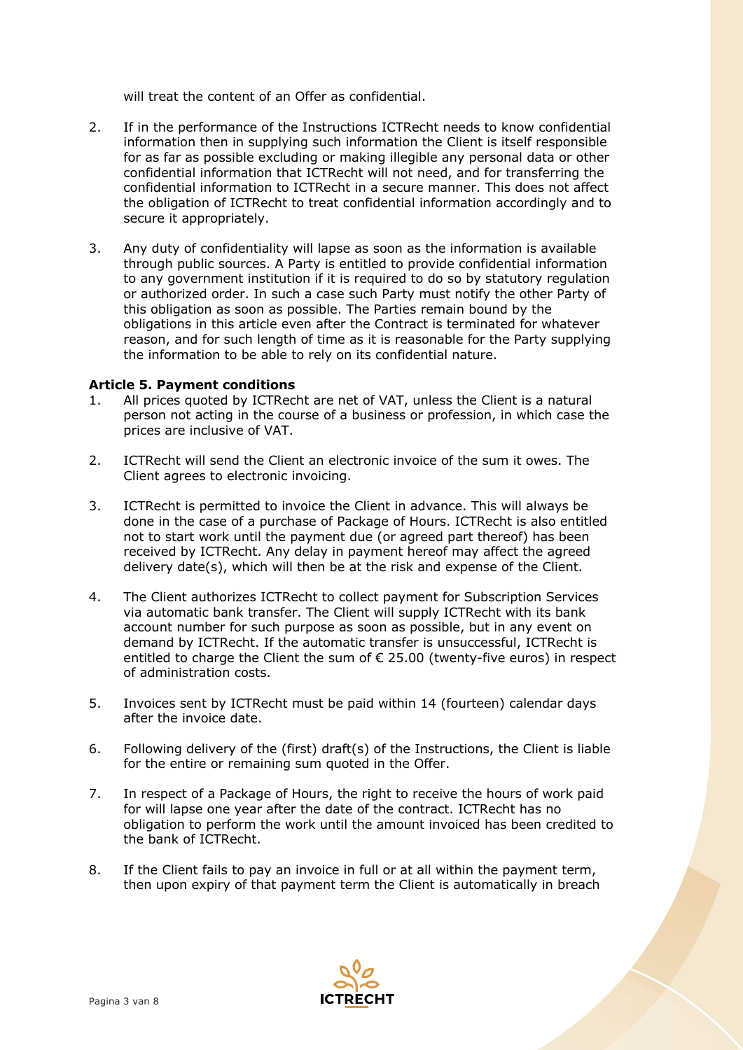will treat the content of an Offer as confidential.

- 2. If in the performance of the Instructions ICTRecht needs to know confidential information then in supplying such information the Client is itself responsible for as far as possible excluding or making illegible any personal data or other confidential information that ICTRecht will not need, and for transferring the confidential information to ICTRecht in a secure manner. This does not affect the obligation of ICTRecht to treat confidential information accordingly and to secure it appropriately.
- 3. Any duty of confidentiality will lapse as soon as the information is available through public sources. A Party is entitled to provide confidential information to any government institution if it is required to do so by statutory regulation or authorized order. In such a case such Party must notify the other Party of this obligation as soon as possible. The Parties remain bound by the obligations in this article even after the Contract is terminated for whatever reason, and for such length of time as it is reasonable for the Party supplying the information to be able to rely on its confidential nature.

### **Article 5. Payment conditions**

- 1. All prices quoted by ICTRecht are net of VAT, unless the Client is a natural person not acting in the course of a business or profession, in which case the prices are inclusive of VAT.
- 2. ICTRecht will send the Client an electronic invoice of the sum it owes. The Client agrees to electronic invoicing.
- 3. ICTRecht is permitted to invoice the Client in advance. This will always be done in the case of a purchase of Package of Hours. ICTRecht is also entitled not to start work until the payment due (or agreed part thereof) has been received by ICTRecht. Any delay in payment hereof may affect the agreed delivery date(s), which will then be at the risk and expense of the Client.
- 4. The Client authorizes ICTRecht to collect payment for Subscription Services via automatic bank transfer. The Client will supply ICTRecht with its bank account number for such purpose as soon as possible, but in any event on demand by ICTRecht. If the automatic transfer is unsuccessful, ICTRecht is entitled to charge the Client the sum of  $\epsilon$  25.00 (twenty-five euros) in respect of administration costs.
- 5. Invoices sent by ICTRecht must be paid within 14 (fourteen) calendar days after the invoice date.
- 6. Following delivery of the (first) draft(s) of the Instructions, the Client is liable for the entire or remaining sum quoted in the Offer.
- 7. In respect of a Package of Hours, the right to receive the hours of work paid for will lapse one year after the date of the contract. ICTRecht has no obligation to perform the work until the amount invoiced has been credited to the bank of ICTRecht.
- 8. If the Client fails to pay an invoice in full or at all within the payment term, then upon expiry of that payment term the Client is automatically in breach

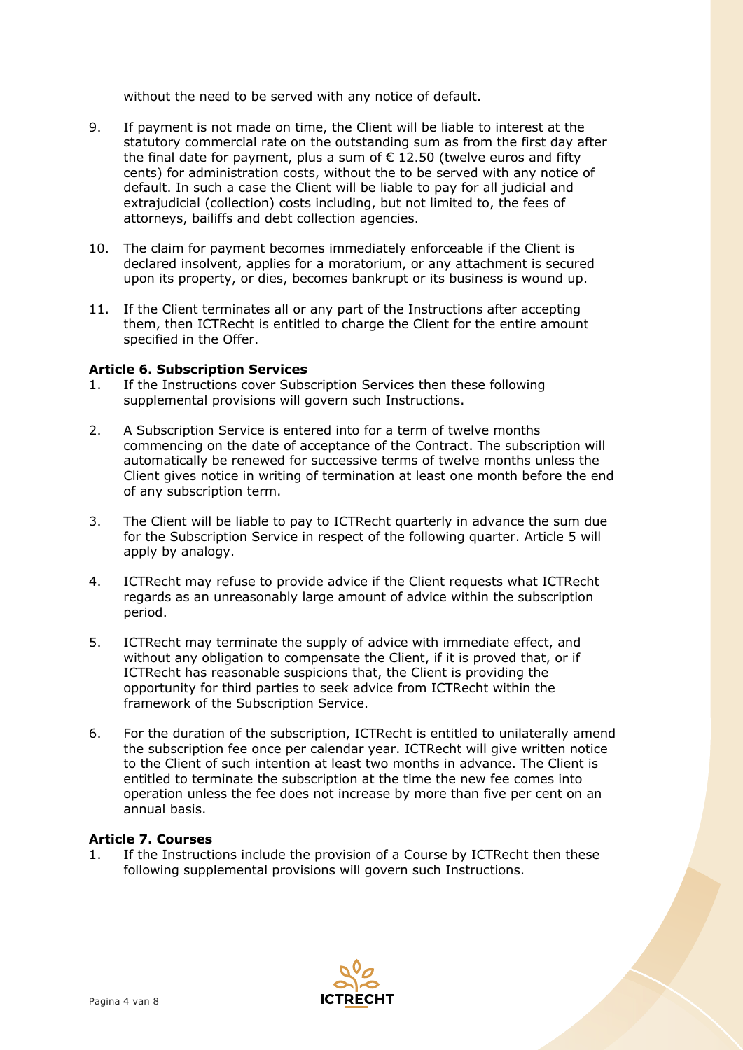without the need to be served with any notice of default.

- 9. If payment is not made on time, the Client will be liable to interest at the statutory commercial rate on the outstanding sum as from the first day after the final date for payment, plus a sum of  $\epsilon$  12.50 (twelve euros and fifty cents) for administration costs, without the to be served with any notice of default. In such a case the Client will be liable to pay for all judicial and extrajudicial (collection) costs including, but not limited to, the fees of attorneys, bailiffs and debt collection agencies.
- 10. The claim for payment becomes immediately enforceable if the Client is declared insolvent, applies for a moratorium, or any attachment is secured upon its property, or dies, becomes bankrupt or its business is wound up.
- 11. If the Client terminates all or any part of the Instructions after accepting them, then ICTRecht is entitled to charge the Client for the entire amount specified in the Offer.

### **Article 6. Subscription Services**

- 1. If the Instructions cover Subscription Services then these following supplemental provisions will govern such Instructions.
- 2. A Subscription Service is entered into for a term of twelve months commencing on the date of acceptance of the Contract. The subscription will automatically be renewed for successive terms of twelve months unless the Client gives notice in writing of termination at least one month before the end of any subscription term.
- 3. The Client will be liable to pay to ICTRecht quarterly in advance the sum due for the Subscription Service in respect of the following quarter. Article 5 will apply by analogy.
- 4. ICTRecht may refuse to provide advice if the Client requests what ICTRecht regards as an unreasonably large amount of advice within the subscription period.
- 5. ICTRecht may terminate the supply of advice with immediate effect, and without any obligation to compensate the Client, if it is proved that, or if ICTRecht has reasonable suspicions that, the Client is providing the opportunity for third parties to seek advice from ICTRecht within the framework of the Subscription Service.
- 6. For the duration of the subscription, ICTRecht is entitled to unilaterally amend the subscription fee once per calendar year. ICTRecht will give written notice to the Client of such intention at least two months in advance. The Client is entitled to terminate the subscription at the time the new fee comes into operation unless the fee does not increase by more than five per cent on an annual basis.

### **Article 7. Courses**

1. If the Instructions include the provision of a Course by ICTRecht then these following supplemental provisions will govern such Instructions.

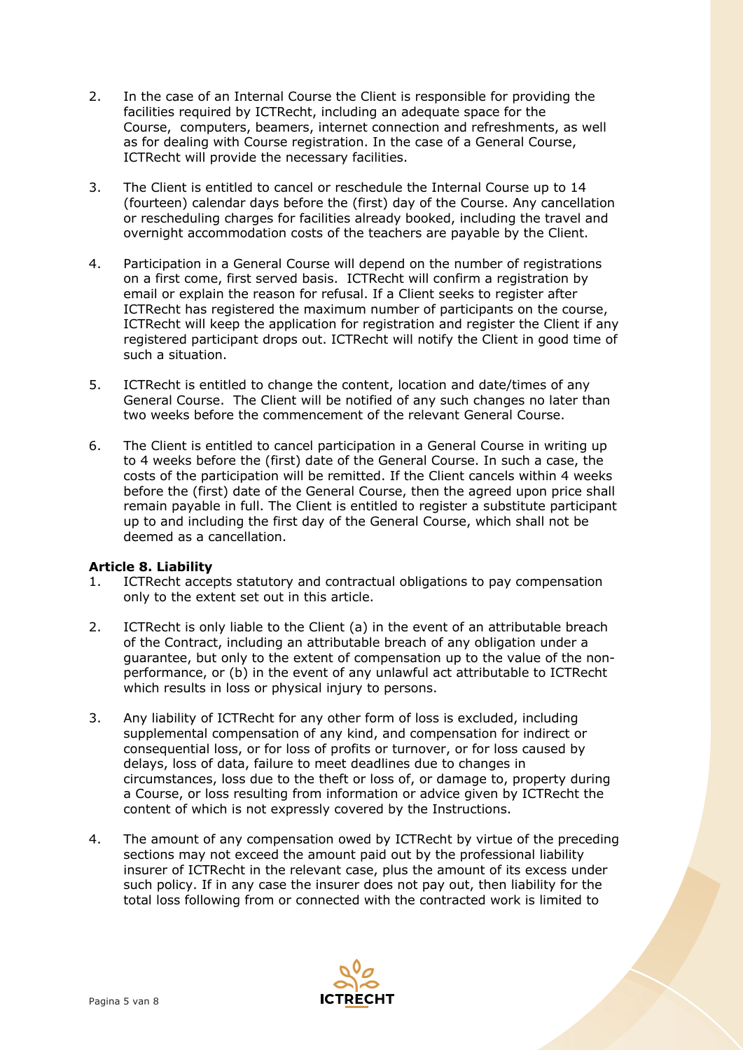- 2. In the case of an Internal Course the Client is responsible for providing the facilities required by ICTRecht, including an adequate space for the Course, computers, beamers, internet connection and refreshments, as well as for dealing with Course registration. In the case of a General Course, ICTRecht will provide the necessary facilities.
- 3. The Client is entitled to cancel or reschedule the Internal Course up to 14 (fourteen) calendar days before the (first) day of the Course. Any cancellation or rescheduling charges for facilities already booked, including the travel and overnight accommodation costs of the teachers are payable by the Client.
- 4. Participation in a General Course will depend on the number of registrations on a first come, first served basis. ICTRecht will confirm a registration by email or explain the reason for refusal. If a Client seeks to register after ICTRecht has registered the maximum number of participants on the course, ICTRecht will keep the application for registration and register the Client if any registered participant drops out. ICTRecht will notify the Client in good time of such a situation.
- 5. ICTRecht is entitled to change the content, location and date/times of any General Course. The Client will be notified of any such changes no later than two weeks before the commencement of the relevant General Course.
- 6. The Client is entitled to cancel participation in a General Course in writing up to 4 weeks before the (first) date of the General Course. In such a case, the costs of the participation will be remitted. If the Client cancels within 4 weeks before the (first) date of the General Course, then the agreed upon price shall remain payable in full. The Client is entitled to register a substitute participant up to and including the first day of the General Course, which shall not be deemed as a cancellation.

# **Article 8. Liability**

- 1. ICTRecht accepts statutory and contractual obligations to pay compensation only to the extent set out in this article.
- 2. ICTRecht is only liable to the Client (a) in the event of an attributable breach of the Contract, including an attributable breach of any obligation under a guarantee, but only to the extent of compensation up to the value of the nonperformance, or (b) in the event of any unlawful act attributable to ICTRecht which results in loss or physical injury to persons.
- 3. Any liability of ICTRecht for any other form of loss is excluded, including supplemental compensation of any kind, and compensation for indirect or consequential loss, or for loss of profits or turnover, or for loss caused by delays, loss of data, failure to meet deadlines due to changes in circumstances, loss due to the theft or loss of, or damage to, property during a Course, or loss resulting from information or advice given by ICTRecht the content of which is not expressly covered by the Instructions.
- 4. The amount of any compensation owed by ICTRecht by virtue of the preceding sections may not exceed the amount paid out by the professional liability insurer of ICTRecht in the relevant case, plus the amount of its excess under such policy. If in any case the insurer does not pay out, then liability for the total loss following from or connected with the contracted work is limited to

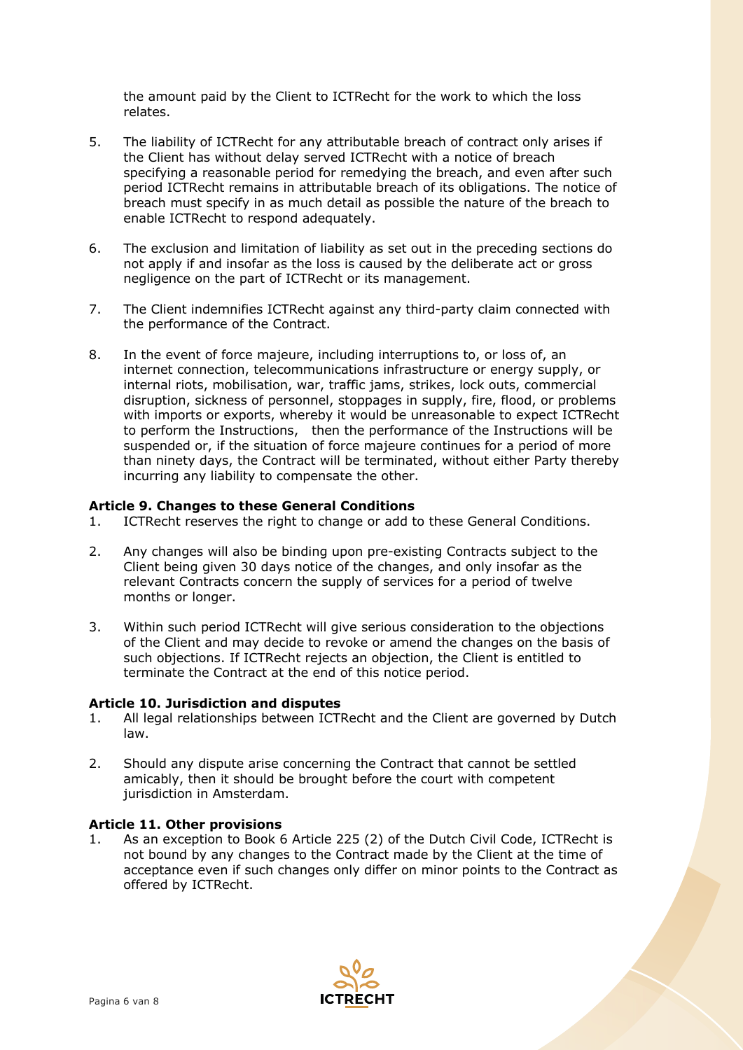the amount paid by the Client to ICTRecht for the work to which the loss relates.

- 5. The liability of ICTRecht for any attributable breach of contract only arises if the Client has without delay served ICTRecht with a notice of breach specifying a reasonable period for remedying the breach, and even after such period ICTRecht remains in attributable breach of its obligations. The notice of breach must specify in as much detail as possible the nature of the breach to enable ICTRecht to respond adequately.
- 6. The exclusion and limitation of liability as set out in the preceding sections do not apply if and insofar as the loss is caused by the deliberate act or gross negligence on the part of ICTRecht or its management.
- 7. The Client indemnifies ICTRecht against any third-party claim connected with the performance of the Contract.
- 8. In the event of force majeure, including interruptions to, or loss of, an internet connection, telecommunications infrastructure or energy supply, or internal riots, mobilisation, war, traffic jams, strikes, lock outs, commercial disruption, sickness of personnel, stoppages in supply, fire, flood, or problems with imports or exports, whereby it would be unreasonable to expect ICTRecht to perform the Instructions, then the performance of the Instructions will be suspended or, if the situation of force majeure continues for a period of more than ninety days, the Contract will be terminated, without either Party thereby incurring any liability to compensate the other.

### **Article 9. Changes to these General Conditions**

- 1. ICTRecht reserves the right to change or add to these General Conditions.
- 2. Any changes will also be binding upon pre-existing Contracts subject to the Client being given 30 days notice of the changes, and only insofar as the relevant Contracts concern the supply of services for a period of twelve months or longer.
- 3. Within such period ICTRecht will give serious consideration to the objections of the Client and may decide to revoke or amend the changes on the basis of such objections. If ICTRecht rejects an objection, the Client is entitled to terminate the Contract at the end of this notice period.

### **Article 10. Jurisdiction and disputes**

- 1. All legal relationships between ICTRecht and the Client are governed by Dutch law.
- 2. Should any dispute arise concerning the Contract that cannot be settled amicably, then it should be brought before the court with competent jurisdiction in Amsterdam.

### **Article 11. Other provisions**

1. As an exception to Book 6 Article 225 (2) of the Dutch Civil Code, ICTRecht is not bound by any changes to the Contract made by the Client at the time of acceptance even if such changes only differ on minor points to the Contract as offered by ICTRecht.

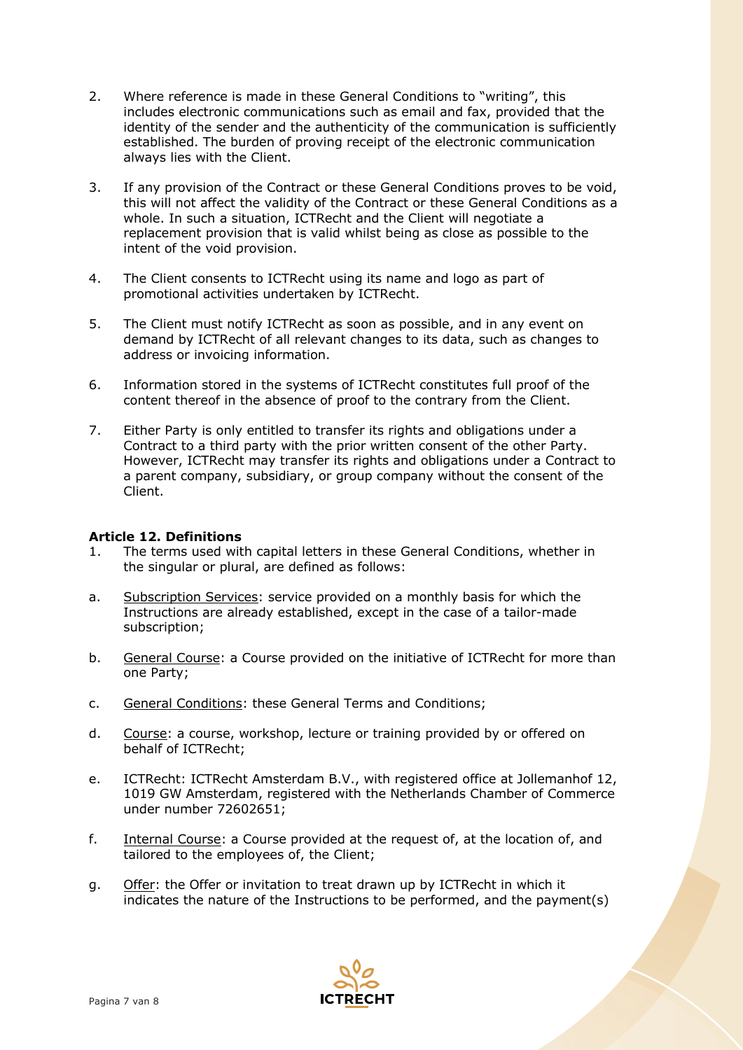- 2. Where reference is made in these General Conditions to "writing", this includes electronic communications such as email and fax, provided that the identity of the sender and the authenticity of the communication is sufficiently established. The burden of proving receipt of the electronic communication always lies with the Client.
- 3. If any provision of the Contract or these General Conditions proves to be void, this will not affect the validity of the Contract or these General Conditions as a whole. In such a situation, ICTRecht and the Client will negotiate a replacement provision that is valid whilst being as close as possible to the intent of the void provision.
- 4. The Client consents to ICTRecht using its name and logo as part of promotional activities undertaken by ICTRecht.
- 5. The Client must notify ICTRecht as soon as possible, and in any event on demand by ICTRecht of all relevant changes to its data, such as changes to address or invoicing information.
- 6. Information stored in the systems of ICTRecht constitutes full proof of the content thereof in the absence of proof to the contrary from the Client.
- 7. Either Party is only entitled to transfer its rights and obligations under a Contract to a third party with the prior written consent of the other Party. However, ICTRecht may transfer its rights and obligations under a Contract to a parent company, subsidiary, or group company without the consent of the Client.

# **Article 12. Definitions**

- 1. The terms used with capital letters in these General Conditions, whether in the singular or plural, are defined as follows:
- a. Subscription Services: service provided on a monthly basis for which the Instructions are already established, except in the case of a tailor-made subscription;
- b. General Course: a Course provided on the initiative of ICTRecht for more than one Party;
- c. General Conditions: these General Terms and Conditions;
- d. Course: a course, workshop, lecture or training provided by or offered on behalf of ICTRecht;
- e. ICTRecht: ICTRecht Amsterdam B.V., with registered office at Jollemanhof 12, 1019 GW Amsterdam, registered with the Netherlands Chamber of Commerce under number 72602651;
- f. Internal Course: a Course provided at the request of, at the location of, and tailored to the employees of, the Client;
- g. Offer: the Offer or invitation to treat drawn up by ICTRecht in which it indicates the nature of the Instructions to be performed, and the payment(s)